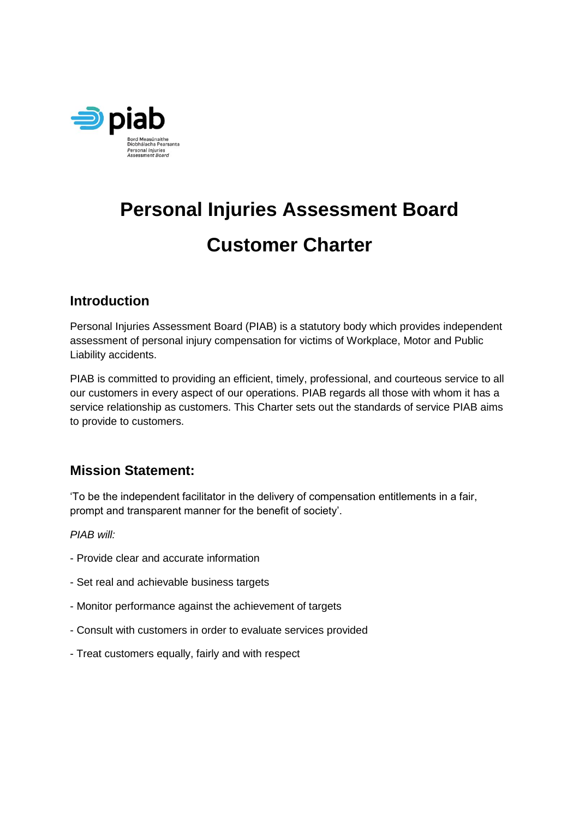

# **Personal Injuries Assessment Board Customer Charter**

# **Introduction**

Personal Injuries Assessment Board (PIAB) is a statutory body which provides independent assessment of personal injury compensation for victims of Workplace, Motor and Public Liability accidents.

PIAB is committed to providing an efficient, timely, professional, and courteous service to all our customers in every aspect of our operations. PIAB regards all those with whom it has a service relationship as customers. This Charter sets out the standards of service PIAB aims to provide to customers.

# **Mission Statement:**

'To be the independent facilitator in the delivery of compensation entitlements in a fair, prompt and transparent manner for the benefit of society'.

*PIAB will:* 

- Provide clear and accurate information
- Set real and achievable business targets
- Monitor performance against the achievement of targets
- Consult with customers in order to evaluate services provided
- Treat customers equally, fairly and with respect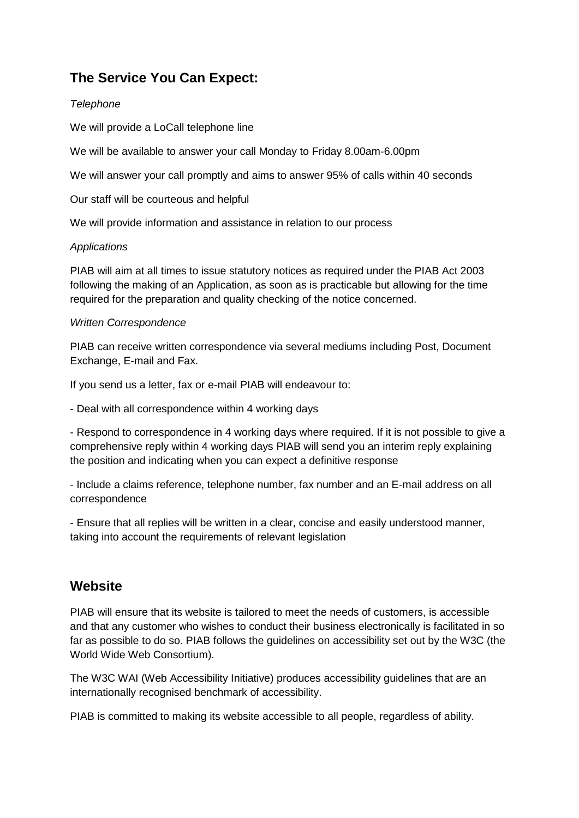# **The Service You Can Expect:**

#### *Telephone*

We will provide a LoCall telephone line

We will be available to answer your call Monday to Friday 8.00am-6.00pm

We will answer your call promptly and aims to answer 95% of calls within 40 seconds

Our staff will be courteous and helpful

We will provide information and assistance in relation to our process

#### *Applications*

PIAB will aim at all times to issue statutory notices as required under the PIAB Act 2003 following the making of an Application, as soon as is practicable but allowing for the time required for the preparation and quality checking of the notice concerned.

#### *Written Correspondence*

PIAB can receive written correspondence via several mediums including Post, Document Exchange, E-mail and Fax.

If you send us a letter, fax or e-mail PIAB will endeavour to:

- Deal with all correspondence within 4 working days

- Respond to correspondence in 4 working days where required. If it is not possible to give a comprehensive reply within 4 working days PIAB will send you an interim reply explaining the position and indicating when you can expect a definitive response

- Include a claims reference, telephone number, fax number and an E-mail address on all correspondence

- Ensure that all replies will be written in a clear, concise and easily understood manner, taking into account the requirements of relevant legislation

### **Website**

PIAB will ensure that its website is tailored to meet the needs of customers, is accessible and that any customer who wishes to conduct their business electronically is facilitated in so far as possible to do so. PIAB follows the guidelines on accessibility set out by the W3C (the World Wide Web Consortium).

The W3C WAI (Web Accessibility Initiative) produces accessibility guidelines that are an internationally recognised benchmark of accessibility.

PIAB is committed to making its website accessible to all people, regardless of ability.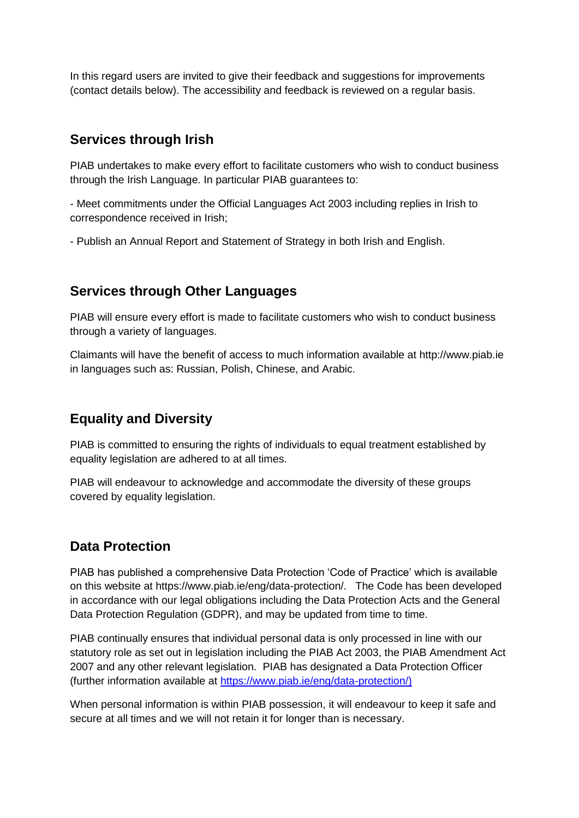In this regard users are invited to give their feedback and suggestions for improvements (contact details below). The accessibility and feedback is reviewed on a regular basis.

## **Services through Irish**

PIAB undertakes to make every effort to facilitate customers who wish to conduct business through the Irish Language. In particular PIAB guarantees to:

- Meet commitments under the Official Languages Act 2003 including replies in Irish to correspondence received in Irish;

- Publish an Annual Report and Statement of Strategy in both Irish and English.

## **Services through Other Languages**

PIAB will ensure every effort is made to facilitate customers who wish to conduct business through a variety of languages.

Claimants will have the benefit of access to much information available at http://www.piab.ie in languages such as: Russian, Polish, Chinese, and Arabic.

# **Equality and Diversity**

PIAB is committed to ensuring the rights of individuals to equal treatment established by equality legislation are adhered to at all times.

PIAB will endeavour to acknowledge and accommodate the diversity of these groups covered by equality legislation.

# **Data Protection**

PIAB has published a comprehensive Data Protection 'Code of Practice' which is available on this website at https://www.piab.ie/eng/data-protection/. The Code has been developed in accordance with our legal obligations including the Data Protection Acts and the General Data Protection Regulation (GDPR), and may be updated from time to time.

PIAB continually ensures that individual personal data is only processed in line with our statutory role as set out in legislation including the PIAB Act 2003, the PIAB Amendment Act 2007 and any other relevant legislation. PIAB has designated a Data Protection Officer (further information available at [https://www.piab.ie/eng/data-protection/\)](https://www.piab.ie/eng/data-protection/)

When personal information is within PIAB possession, it will endeavour to keep it safe and secure at all times and we will not retain it for longer than is necessary.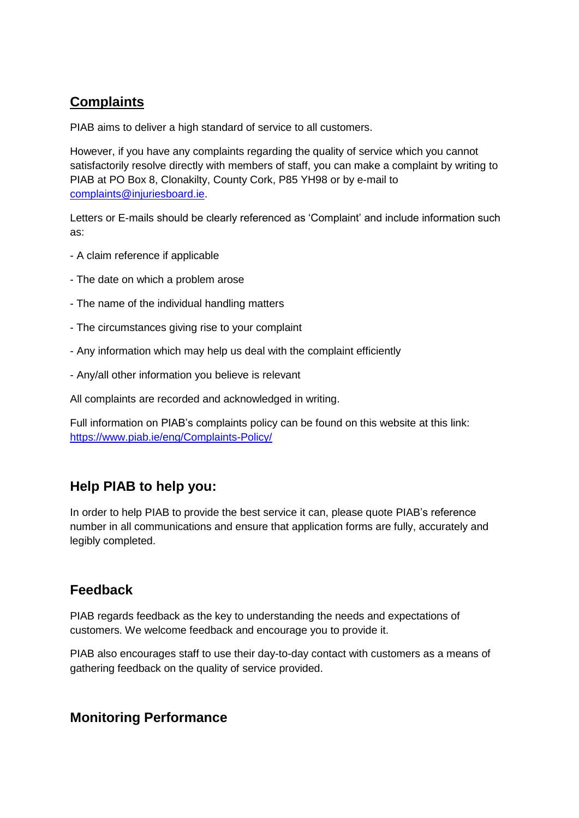# **Complaints**

PIAB aims to deliver a high standard of service to all customers.

However, if you have any complaints regarding the quality of service which you cannot satisfactorily resolve directly with members of staff, you can make a complaint by writing to PIAB at PO Box 8, Clonakilty, County Cork, P85 YH98 or by e-mail to [complaints@injuriesboard.ie.](mailto:complaints@injuriesboard.ie)

Letters or E-mails should be clearly referenced as 'Complaint' and include information such as:

- A claim reference if applicable
- The date on which a problem arose
- The name of the individual handling matters
- The circumstances giving rise to your complaint
- Any information which may help us deal with the complaint efficiently
- Any/all other information you believe is relevant

All complaints are recorded and acknowledged in writing.

Full information on PIAB's complaints policy can be found on this website at this link: <https://www.piab.ie/eng/Complaints-Policy/>

# **Help PIAB to help you:**

In order to help PIAB to provide the best service it can, please quote PIAB's reference number in all communications and ensure that application forms are fully, accurately and legibly completed.

### **Feedback**

PIAB regards feedback as the key to understanding the needs and expectations of customers. We welcome feedback and encourage you to provide it.

PIAB also encourages staff to use their day-to-day contact with customers as a means of gathering feedback on the quality of service provided.

### **Monitoring Performance**